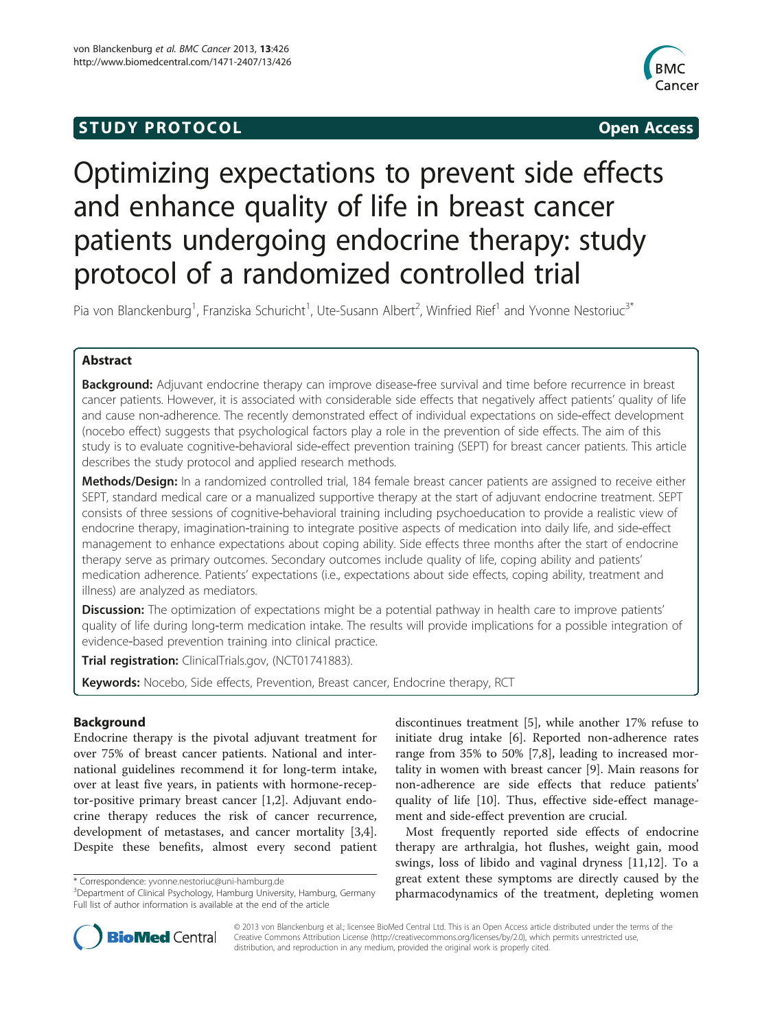# **STUDY PROTOCOL CONSUMING THE STUDY PROTOCOL**



# Optimizing expectations to prevent side effects and enhance quality of life in breast cancer patients undergoing endocrine therapy: study protocol of a randomized controlled trial

Pia von Blanckenburg<sup>1</sup>, Franziska Schuricht<sup>1</sup>, Ute-Susann Albert<sup>2</sup>, Winfried Rief<sup>1</sup> and Yvonne Nestoriuc<sup>3\*</sup>

# Abstract

Background: Adjuvant endocrine therapy can improve disease-free survival and time before recurrence in breast cancer patients. However, it is associated with considerable side effects that negatively affect patients' quality of life and cause non-adherence. The recently demonstrated effect of individual expectations on side-effect development (nocebo effect) suggests that psychological factors play a role in the prevention of side effects. The aim of this study is to evaluate cognitive-behavioral side-effect prevention training (SEPT) for breast cancer patients. This article describes the study protocol and applied research methods.

Methods/Design: In a randomized controlled trial, 184 female breast cancer patients are assigned to receive either SEPT, standard medical care or a manualized supportive therapy at the start of adjuvant endocrine treatment. SEPT consists of three sessions of cognitive-behavioral training including psychoeducation to provide a realistic view of endocrine therapy, imagination-training to integrate positive aspects of medication into daily life, and side-effect management to enhance expectations about coping ability. Side effects three months after the start of endocrine therapy serve as primary outcomes. Secondary outcomes include quality of life, coping ability and patients' medication adherence. Patients' expectations (i.e., expectations about side effects, coping ability, treatment and illness) are analyzed as mediators.

**Discussion:** The optimization of expectations might be a potential pathway in health care to improve patients' quality of life during long-term medication intake. The results will provide implications for a possible integration of evidence-based prevention training into clinical practice.

Trial registration: ClinicalTrials.gov, ([NCT01741883\)](http://clinicaltrials.gov/ct2/show/NCT01741883).

Keywords: Nocebo, Side effects, Prevention, Breast cancer, Endocrine therapy, RCT

# Background

Endocrine therapy is the pivotal adjuvant treatment for over 75% of breast cancer patients. National and international guidelines recommend it for long-term intake, over at least five years, in patients with hormone-receptor-positive primary breast cancer [[1,2\]](#page-8-0). Adjuvant endocrine therapy reduces the risk of cancer recurrence, development of metastases, and cancer mortality [\[3,4](#page-8-0)]. Despite these benefits, almost every second patient discontinues treatment [[5\]](#page-8-0), while another 17% refuse to initiate drug intake [\[6](#page-8-0)]. Reported non-adherence rates range from 35% to 50% [\[7,8](#page-8-0)], leading to increased mortality in women with breast cancer [[9\]](#page-8-0). Main reasons for non-adherence are side effects that reduce patients' quality of life [\[10](#page-8-0)]. Thus, effective side-effect management and side-effect prevention are crucial.

Most frequently reported side effects of endocrine therapy are arthralgia, hot flushes, weight gain, mood swings, loss of libido and vaginal dryness [\[11,12\]](#page-8-0). To a great extent these symptoms are directly caused by the pharmacodynamics of the treatment, depleting women



© 2013 von Blanckenburg et al.; licensee BioMed Central Ltd. This is an Open Access article distributed under the terms of the Creative Commons Attribution License (<http://creativecommons.org/licenses/by/2.0>), which permits unrestricted use, distribution, and reproduction in any medium, provided the original work is properly cited.

<sup>\*</sup> Correspondence: [yvonne.nestoriuc@uni-hamburg.de](mailto:yvonne.nestoriuc@uni-hamburg.de) <sup>3</sup>

<sup>&</sup>lt;sup>3</sup>Department of Clinical Psychology, Hamburg University, Hamburg, Germany Full list of author information is available at the end of the article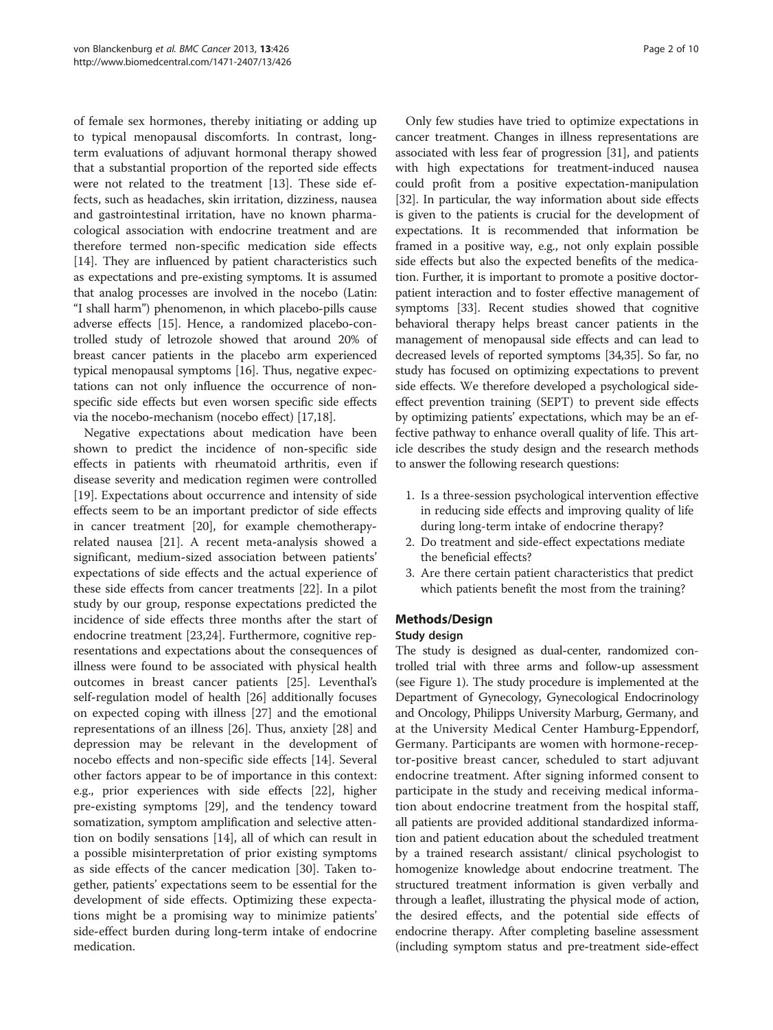of female sex hormones, thereby initiating or adding up to typical menopausal discomforts. In contrast, longterm evaluations of adjuvant hormonal therapy showed that a substantial proportion of the reported side effects were not related to the treatment [\[13\]](#page-8-0). These side effects, such as headaches, skin irritation, dizziness, nausea and gastrointestinal irritation, have no known pharmacological association with endocrine treatment and are therefore termed non-specific medication side effects [[14\]](#page-8-0). They are influenced by patient characteristics such as expectations and pre-existing symptoms. It is assumed that analog processes are involved in the nocebo (Latin: "I shall harm") phenomenon, in which placebo-pills cause adverse effects [[15](#page-8-0)]. Hence, a randomized placebo-controlled study of letrozole showed that around 20% of breast cancer patients in the placebo arm experienced typical menopausal symptoms [\[16\]](#page-8-0). Thus, negative expectations can not only influence the occurrence of nonspecific side effects but even worsen specific side effects via the nocebo-mechanism (nocebo effect) [\[17,18](#page-8-0)].

Negative expectations about medication have been shown to predict the incidence of non-specific side effects in patients with rheumatoid arthritis, even if disease severity and medication regimen were controlled [[19\]](#page-8-0). Expectations about occurrence and intensity of side effects seem to be an important predictor of side effects in cancer treatment [\[20](#page-8-0)], for example chemotherapyrelated nausea [\[21\]](#page-9-0). A recent meta-analysis showed a significant, medium-sized association between patients' expectations of side effects and the actual experience of these side effects from cancer treatments [[22](#page-9-0)]. In a pilot study by our group, response expectations predicted the incidence of side effects three months after the start of endocrine treatment [\[23,24](#page-9-0)]. Furthermore, cognitive representations and expectations about the consequences of illness were found to be associated with physical health outcomes in breast cancer patients [[25\]](#page-9-0). Leventhal's self-regulation model of health [[26](#page-9-0)] additionally focuses on expected coping with illness [[27\]](#page-9-0) and the emotional representations of an illness [[26](#page-9-0)]. Thus, anxiety [\[28\]](#page-9-0) and depression may be relevant in the development of nocebo effects and non-specific side effects [[14\]](#page-8-0). Several other factors appear to be of importance in this context: e.g., prior experiences with side effects [[22\]](#page-9-0), higher pre-existing symptoms [[29\]](#page-9-0), and the tendency toward somatization, symptom amplification and selective attention on bodily sensations [\[14](#page-8-0)], all of which can result in a possible misinterpretation of prior existing symptoms as side effects of the cancer medication [[30\]](#page-9-0). Taken together, patients' expectations seem to be essential for the development of side effects. Optimizing these expectations might be a promising way to minimize patients' side-effect burden during long-term intake of endocrine medication.

Only few studies have tried to optimize expectations in cancer treatment. Changes in illness representations are associated with less fear of progression [\[31](#page-9-0)], and patients with high expectations for treatment-induced nausea could profit from a positive expectation-manipulation [[32](#page-9-0)]. In particular, the way information about side effects is given to the patients is crucial for the development of expectations. It is recommended that information be framed in a positive way, e.g., not only explain possible side effects but also the expected benefits of the medication. Further, it is important to promote a positive doctorpatient interaction and to foster effective management of symptoms [\[33\]](#page-9-0). Recent studies showed that cognitive behavioral therapy helps breast cancer patients in the management of menopausal side effects and can lead to decreased levels of reported symptoms [\[34,35\]](#page-9-0). So far, no study has focused on optimizing expectations to prevent side effects. We therefore developed a psychological sideeffect prevention training (SEPT) to prevent side effects by optimizing patients' expectations, which may be an effective pathway to enhance overall quality of life. This article describes the study design and the research methods to answer the following research questions:

- 1. Is a three-session psychological intervention effective in reducing side effects and improving quality of life during long-term intake of endocrine therapy?
- 2. Do treatment and side-effect expectations mediate the beneficial effects?
- 3. Are there certain patient characteristics that predict which patients benefit the most from the training?

# Methods/Design

#### Study design

The study is designed as dual-center, randomized controlled trial with three arms and follow-up assessment (see Figure [1\)](#page-2-0). The study procedure is implemented at the Department of Gynecology, Gynecological Endocrinology and Oncology, Philipps University Marburg, Germany, and at the University Medical Center Hamburg-Eppendorf, Germany. Participants are women with hormone-receptor-positive breast cancer, scheduled to start adjuvant endocrine treatment. After signing informed consent to participate in the study and receiving medical information about endocrine treatment from the hospital staff, all patients are provided additional standardized information and patient education about the scheduled treatment by a trained research assistant/ clinical psychologist to homogenize knowledge about endocrine treatment. The structured treatment information is given verbally and through a leaflet, illustrating the physical mode of action, the desired effects, and the potential side effects of endocrine therapy. After completing baseline assessment (including symptom status and pre-treatment side-effect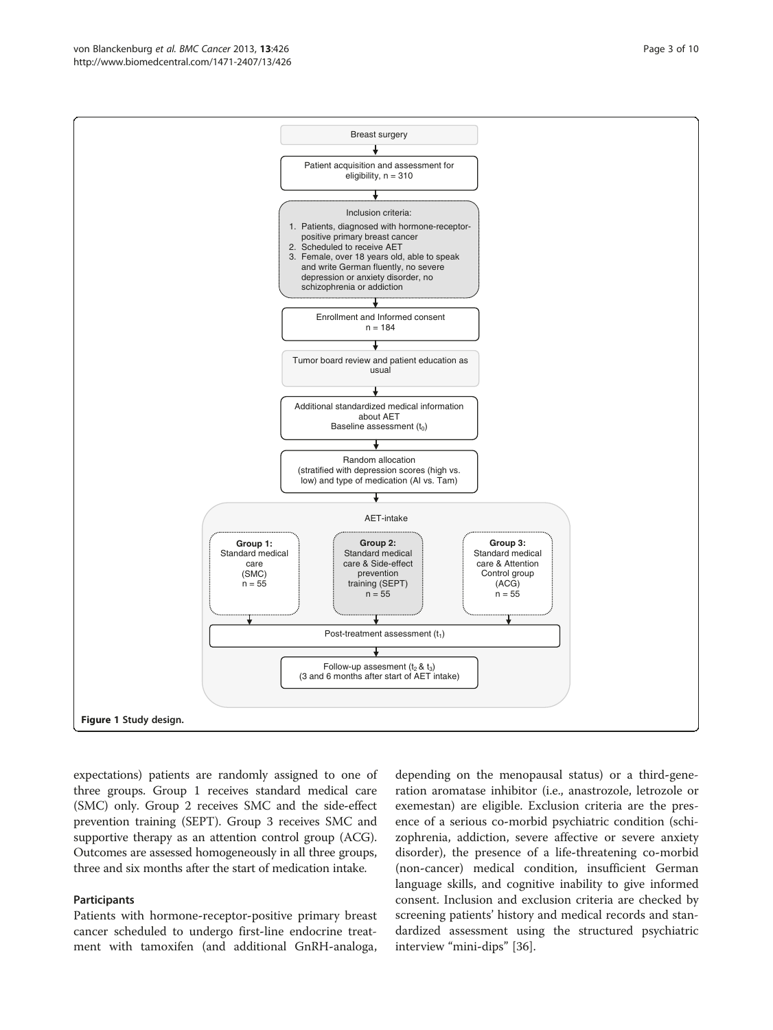expectations) patients are randomly assigned to one of three groups. Group 1 receives standard medical care (SMC) only. Group 2 receives SMC and the side-effect prevention training (SEPT). Group 3 receives SMC and supportive therapy as an attention control group (ACG). Outcomes are assessed homogeneously in all three groups, three and six months after the start of medication intake.

#### Participants

Patients with hormone-receptor-positive primary breast cancer scheduled to undergo first-line endocrine treatment with tamoxifen (and additional GnRH-analoga,

depending on the menopausal status) or a third-generation aromatase inhibitor (i.e., anastrozole, letrozole or exemestan) are eligible. Exclusion criteria are the presence of a serious co-morbid psychiatric condition (schizophrenia, addiction, severe affective or severe anxiety disorder), the presence of a life-threatening co-morbid (non-cancer) medical condition, insufficient German language skills, and cognitive inability to give informed consent. Inclusion and exclusion criteria are checked by screening patients' history and medical records and standardized assessment using the structured psychiatric interview "mini-dips" [[36\]](#page-9-0).

<span id="page-2-0"></span>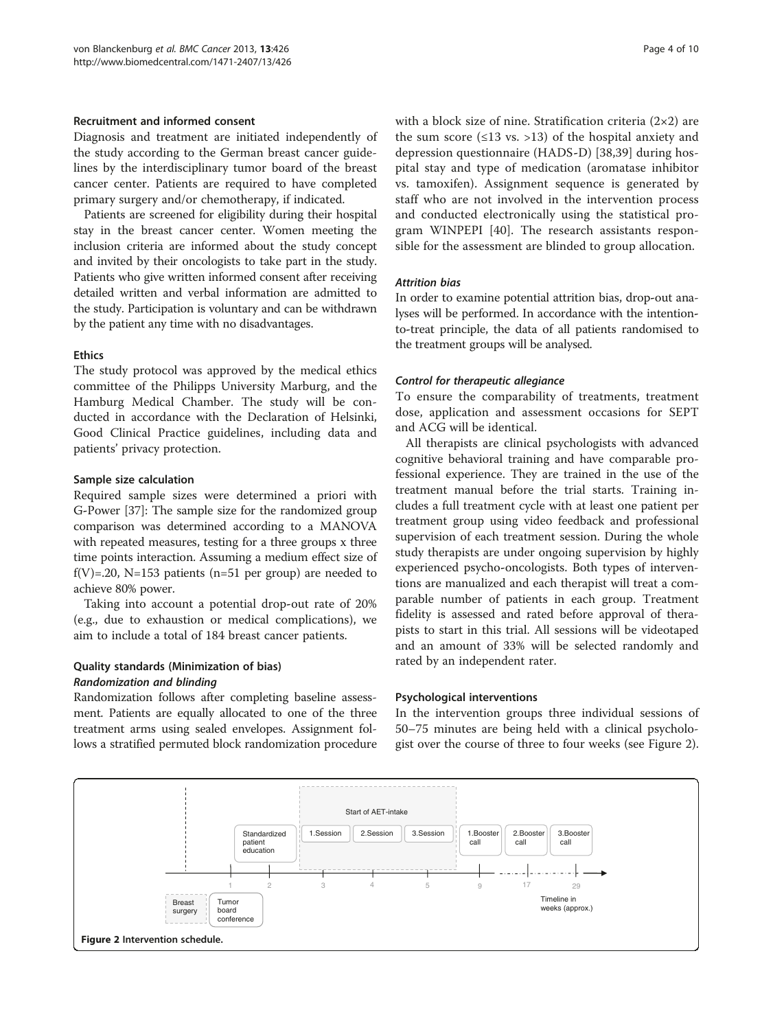#### Recruitment and informed consent

Diagnosis and treatment are initiated independently of the study according to the German breast cancer guidelines by the interdisciplinary tumor board of the breast cancer center. Patients are required to have completed primary surgery and/or chemotherapy, if indicated.

Patients are screened for eligibility during their hospital stay in the breast cancer center. Women meeting the inclusion criteria are informed about the study concept and invited by their oncologists to take part in the study. Patients who give written informed consent after receiving detailed written and verbal information are admitted to the study. Participation is voluntary and can be withdrawn by the patient any time with no disadvantages.

#### **Ethics**

The study protocol was approved by the medical ethics committee of the Philipps University Marburg, and the Hamburg Medical Chamber. The study will be conducted in accordance with the Declaration of Helsinki, Good Clinical Practice guidelines, including data and patients' privacy protection.

#### Sample size calculation

Required sample sizes were determined a priori with G-Power [\[37\]](#page-9-0): The sample size for the randomized group comparison was determined according to a MANOVA with repeated measures, testing for a three groups x three time points interaction. Assuming a medium effect size of f(V)=.20, N=153 patients (n=51 per group) are needed to achieve 80% power.

Taking into account a potential drop-out rate of 20% (e.g., due to exhaustion or medical complications), we aim to include a total of 184 breast cancer patients.

# Quality standards (Minimization of bias)

#### Randomization and blinding

Randomization follows after completing baseline assessment. Patients are equally allocated to one of the three treatment arms using sealed envelopes. Assignment follows a stratified permuted block randomization procedure with a block size of nine. Stratification criteria  $(2\times 2)$  are the sum score  $(\leq 13$  vs. >13) of the hospital anxiety and depression questionnaire (HADS-D) [\[38,39](#page-9-0)] during hospital stay and type of medication (aromatase inhibitor vs. tamoxifen). Assignment sequence is generated by staff who are not involved in the intervention process and conducted electronically using the statistical program WINPEPI [[40\]](#page-9-0). The research assistants responsible for the assessment are blinded to group allocation.

## Attrition bias

In order to examine potential attrition bias, drop-out analyses will be performed. In accordance with the intentionto-treat principle, the data of all patients randomised to the treatment groups will be analysed.

#### Control for therapeutic allegiance

To ensure the comparability of treatments, treatment dose, application and assessment occasions for SEPT and ACG will be identical.

All therapists are clinical psychologists with advanced cognitive behavioral training and have comparable professional experience. They are trained in the use of the treatment manual before the trial starts. Training includes a full treatment cycle with at least one patient per treatment group using video feedback and professional supervision of each treatment session. During the whole study therapists are under ongoing supervision by highly experienced psycho-oncologists. Both types of interventions are manualized and each therapist will treat a comparable number of patients in each group. Treatment fidelity is assessed and rated before approval of therapists to start in this trial. All sessions will be videotaped and an amount of 33% will be selected randomly and rated by an independent rater.

#### Psychological interventions

In the intervention groups three individual sessions of 50–75 minutes are being held with a clinical psychologist over the course of three to four weeks (see Figure 2).

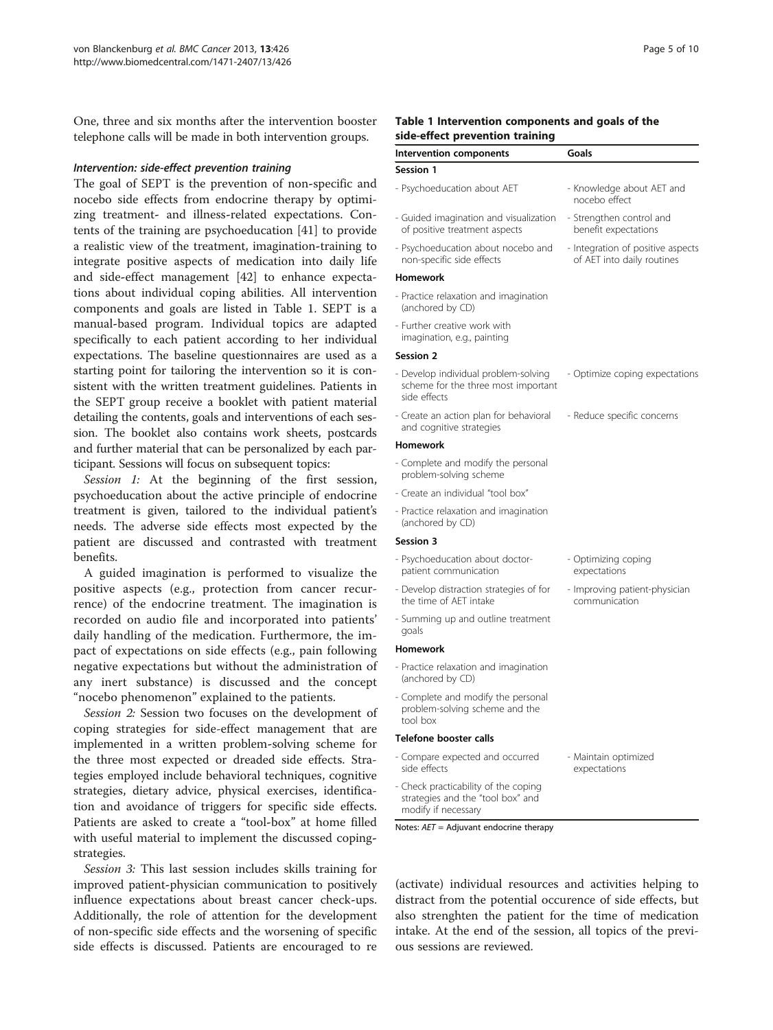One, three and six months after the intervention booster telephone calls will be made in both intervention groups.

#### Intervention: side-effect prevention training

The goal of SEPT is the prevention of non-specific and nocebo side effects from endocrine therapy by optimizing treatment- and illness-related expectations. Contents of the training are psychoeducation [\[41](#page-9-0)] to provide a realistic view of the treatment, imagination-training to integrate positive aspects of medication into daily life and side-effect management [\[42](#page-9-0)] to enhance expectations about individual coping abilities. All intervention components and goals are listed in Table 1. SEPT is a manual-based program. Individual topics are adapted specifically to each patient according to her individual expectations. The baseline questionnaires are used as a starting point for tailoring the intervention so it is consistent with the written treatment guidelines. Patients in the SEPT group receive a booklet with patient material detailing the contents, goals and interventions of each session. The booklet also contains work sheets, postcards and further material that can be personalized by each participant. Sessions will focus on subsequent topics:

Session 1: At the beginning of the first session psychoeducation about the active principle of endocrine treatment is given, tailored to the individual patient's needs. The adverse side effects most expected by the patient are discussed and contrasted with treatmen benefits.

A guided imagination is performed to visualize the positive aspects (e.g., protection from cancer recurrence) of the endocrine treatment. The imagination is recorded on audio file and incorporated into patients' daily handling of the medication. Furthermore, the impact of expectations on side effects (e.g., pain following negative expectations but without the administration of any inert substance) is discussed and the concep "nocebo phenomenon" explained to the patients.

Session 2: Session two focuses on the development of coping strategies for side-effect management that are implemented in a written problem-solving scheme for the three most expected or dreaded side effects. Strategies employed include behavioral techniques, cognitive strategies, dietary advice, physical exercises, identification and avoidance of triggers for specific side effects. Patients are asked to create a "tool-box" at home filled with useful material to implement the discussed copingstrategies.

Session 3: This last session includes skills training for improved patient-physician communication to positively influence expectations about breast cancer check-ups. Additionally, the role of attention for the development of non-specific side effects and the worsening of specific side effects is discussed. Patients are encouraged to re

#### Table 1 Intervention components and goals of the side-effect prevention training

| <b>Intervention components</b>                                                                   | Goals                                                           |  |
|--------------------------------------------------------------------------------------------------|-----------------------------------------------------------------|--|
| Session 1                                                                                        |                                                                 |  |
| - Psychoeducation about AET                                                                      | - Knowledge about AET and<br>nocebo effect                      |  |
| - Guided imagination and visualization<br>of positive treatment aspects                          | - Strengthen control and<br>benefit expectations                |  |
| - Psychoeducation about nocebo and<br>non-specific side effects                                  | - Integration of positive aspects<br>of AET into daily routines |  |
| <b>Homework</b>                                                                                  |                                                                 |  |
| - Practice relaxation and imagination<br>(anchored by CD)                                        |                                                                 |  |
| - Further creative work with<br>imagination, e.g., painting                                      |                                                                 |  |
| Session 2                                                                                        |                                                                 |  |
| - Develop individual problem-solving<br>scheme for the three most important<br>side effects      | - Optimize coping expectations                                  |  |
| - Create an action plan for behavioral<br>and cognitive strategies                               | - Reduce specific concerns                                      |  |
| <b>Homework</b>                                                                                  |                                                                 |  |
| - Complete and modify the personal<br>problem-solving scheme                                     |                                                                 |  |
| - Create an individual "tool box"                                                                |                                                                 |  |
| - Practice relaxation and imagination<br>(anchored by CD)                                        |                                                                 |  |
| <b>Session 3</b>                                                                                 |                                                                 |  |
| - Psychoeducation about doctor-<br>patient communication                                         | - Optimizing coping<br>expectations                             |  |
| - Develop distraction strategies of for<br>the time of AET intake                                | - Improving patient-physician<br>communication                  |  |
| - Summing up and outline treatment<br>goals                                                      |                                                                 |  |
| Homework                                                                                         |                                                                 |  |
| - Practice relaxation and imagination<br>(anchored by CD)                                        |                                                                 |  |
| - Complete and modify the personal<br>problem-solving scheme and the<br>tool box                 |                                                                 |  |
| Telefone booster calls                                                                           |                                                                 |  |
| - Compare expected and occurred<br>side effects                                                  | - Maintain optimized<br>expectations                            |  |
| - Check practicability of the coping<br>strategies and the "tool box" and<br>modify if necessary |                                                                 |  |

(activate) individual resources and activities helping to distract from the potential occurence of side effects, but also strenghten the patient for the time of medication intake. At the end of the session, all topics of the previous sessions are reviewed.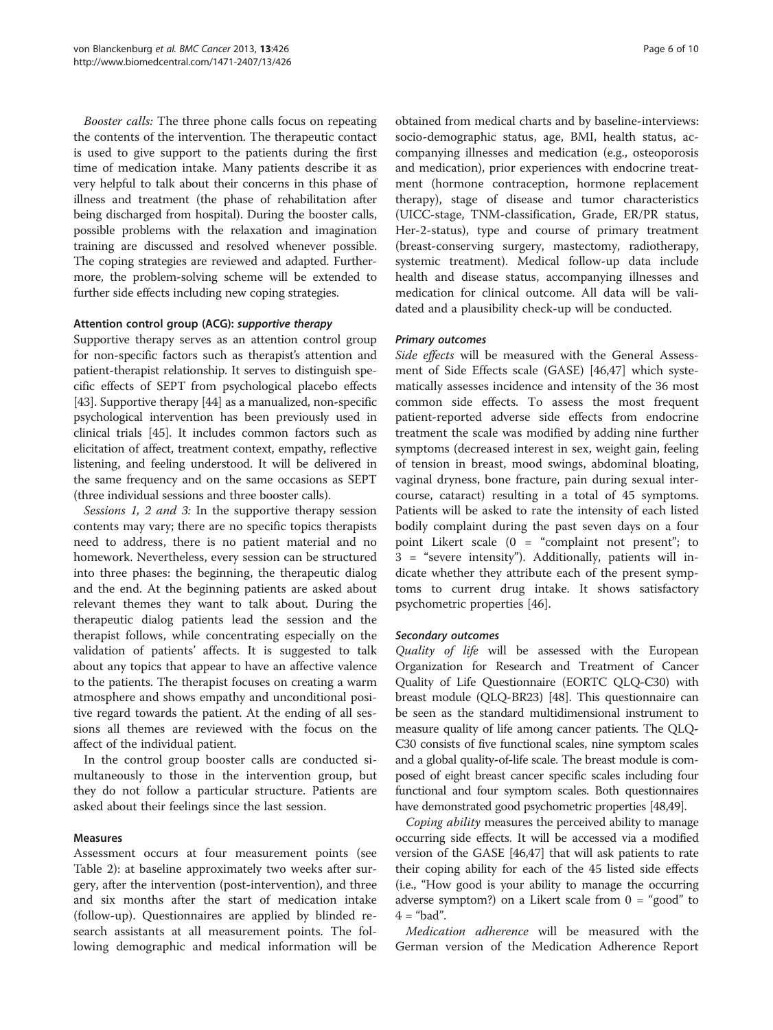Booster calls: The three phone calls focus on repeating the contents of the intervention. The therapeutic contact is used to give support to the patients during the first time of medication intake. Many patients describe it as very helpful to talk about their concerns in this phase of illness and treatment (the phase of rehabilitation after being discharged from hospital). During the booster calls, possible problems with the relaxation and imagination training are discussed and resolved whenever possible. The coping strategies are reviewed and adapted. Furthermore, the problem-solving scheme will be extended to further side effects including new coping strategies.

#### Attention control group (ACG): supportive therapy

Supportive therapy serves as an attention control group for non-specific factors such as therapist's attention and patient-therapist relationship. It serves to distinguish specific effects of SEPT from psychological placebo effects [[43](#page-9-0)]. Supportive therapy [\[44](#page-9-0)] as a manualized, non-specific psychological intervention has been previously used in clinical trials [\[45](#page-9-0)]. It includes common factors such as elicitation of affect, treatment context, empathy, reflective listening, and feeling understood. It will be delivered in the same frequency and on the same occasions as SEPT (three individual sessions and three booster calls).

Sessions 1, 2 and 3: In the supportive therapy session contents may vary; there are no specific topics therapists need to address, there is no patient material and no homework. Nevertheless, every session can be structured into three phases: the beginning, the therapeutic dialog and the end. At the beginning patients are asked about relevant themes they want to talk about. During the therapeutic dialog patients lead the session and the therapist follows, while concentrating especially on the validation of patients' affects. It is suggested to talk about any topics that appear to have an affective valence to the patients. The therapist focuses on creating a warm atmosphere and shows empathy and unconditional positive regard towards the patient. At the ending of all sessions all themes are reviewed with the focus on the affect of the individual patient.

In the control group booster calls are conducted simultaneously to those in the intervention group, but they do not follow a particular structure. Patients are asked about their feelings since the last session.

### Measures

Assessment occurs at four measurement points (see Table [2](#page-6-0)): at baseline approximately two weeks after surgery, after the intervention (post-intervention), and three and six months after the start of medication intake (follow-up). Questionnaires are applied by blinded research assistants at all measurement points. The following demographic and medical information will be

obtained from medical charts and by baseline-interviews: socio-demographic status, age, BMI, health status, accompanying illnesses and medication (e.g., osteoporosis and medication), prior experiences with endocrine treatment (hormone contraception, hormone replacement therapy), stage of disease and tumor characteristics (UICC-stage, TNM-classification, Grade, ER/PR status, Her-2-status), type and course of primary treatment (breast-conserving surgery, mastectomy, radiotherapy, systemic treatment). Medical follow-up data include health and disease status, accompanying illnesses and medication for clinical outcome. All data will be validated and a plausibility check-up will be conducted.

#### Primary outcomes

Side effects will be measured with the General Assessment of Side Effects scale (GASE) [[46](#page-9-0),[47](#page-9-0)] which systematically assesses incidence and intensity of the 36 most common side effects. To assess the most frequent patient-reported adverse side effects from endocrine treatment the scale was modified by adding nine further symptoms (decreased interest in sex, weight gain, feeling of tension in breast, mood swings, abdominal bloating, vaginal dryness, bone fracture, pain during sexual intercourse, cataract) resulting in a total of 45 symptoms. Patients will be asked to rate the intensity of each listed bodily complaint during the past seven days on a four point Likert scale (0 = "complaint not present"; to 3 = "severe intensity"). Additionally, patients will indicate whether they attribute each of the present symptoms to current drug intake. It shows satisfactory psychometric properties [[46](#page-9-0)].

#### Secondary outcomes

Quality of life will be assessed with the European Organization for Research and Treatment of Cancer Quality of Life Questionnaire (EORTC QLQ-C30) with breast module (QLQ-BR23) [[48](#page-9-0)]. This questionnaire can be seen as the standard multidimensional instrument to measure quality of life among cancer patients. The QLQ-C30 consists of five functional scales, nine symptom scales and a global quality-of-life scale. The breast module is composed of eight breast cancer specific scales including four functional and four symptom scales. Both questionnaires have demonstrated good psychometric properties [[48,49](#page-9-0)].

Coping ability measures the perceived ability to manage occurring side effects. It will be accessed via a modified version of the GASE [\[46,47\]](#page-9-0) that will ask patients to rate their coping ability for each of the 45 listed side effects (i.e., "How good is your ability to manage the occurring adverse symptom?) on a Likert scale from  $0 =$  "good" to  $4 =$  "bad".

Medication adherence will be measured with the German version of the Medication Adherence Report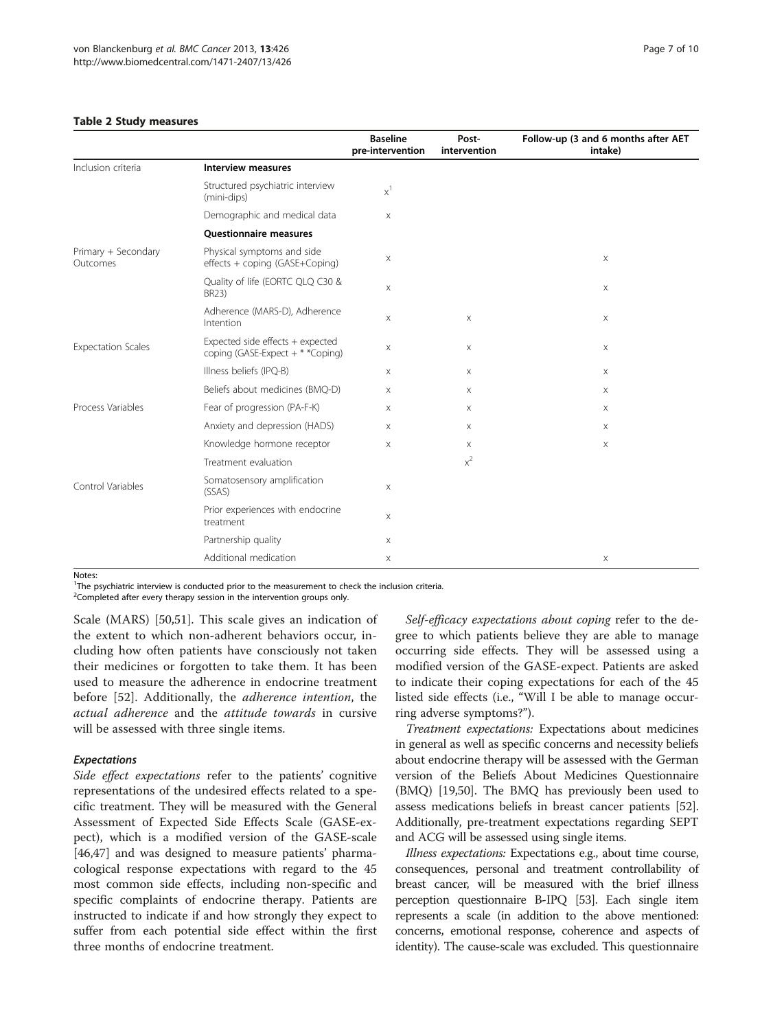#### <span id="page-6-0"></span>Table 2 Study measures

|                                 |                                                                       | <b>Baseline</b><br>pre-intervention | Post-<br>intervention | Follow-up (3 and 6 months after AET<br>intake) |
|---------------------------------|-----------------------------------------------------------------------|-------------------------------------|-----------------------|------------------------------------------------|
| Inclusion criteria              | <b>Interview measures</b>                                             |                                     |                       |                                                |
|                                 | Structured psychiatric interview<br>(mini-dips)                       | $\mathsf{x}^1$                      |                       |                                                |
|                                 | Demographic and medical data                                          | $\mathsf X$                         |                       |                                                |
|                                 | <b>Questionnaire measures</b>                                         |                                     |                       |                                                |
| Primary + Secondary<br>Outcomes | Physical symptoms and side<br>effects + coping (GASE+Coping)          | X                                   |                       | $\mathsf X$                                    |
|                                 | Quality of life (EORTC QLQ C30 &<br>BR23)                             | $\mathsf X$                         |                       | X                                              |
|                                 | Adherence (MARS-D), Adherence<br>Intention                            | $\mathsf X$                         | X                     | X                                              |
| <b>Expectation Scales</b>       | Expected side effects + expected<br>coping (GASE-Expect + * * Coping) | $\mathsf X$                         | $\times$              | Χ                                              |
|                                 | Illness beliefs (IPQ-B)                                               | Χ                                   | X                     | $\mathsf X$                                    |
|                                 | Beliefs about medicines (BMQ-D)                                       | X                                   | Χ                     | X                                              |
| Process Variables               | Fear of progression (PA-F-K)                                          | $\times$                            | $\times$              | $\times$                                       |
|                                 | Anxiety and depression (HADS)                                         | X                                   | X                     | Χ                                              |
|                                 | Knowledge hormone receptor                                            | X                                   | X                     | $\mathsf X$                                    |
|                                 | Treatment evaluation                                                  |                                     | $x^2$                 |                                                |
| Control Variables               | Somatosensory amplification<br>(SSAS)                                 | X                                   |                       |                                                |
|                                 | Prior experiences with endocrine<br>treatment                         | $\mathsf X$                         |                       |                                                |
|                                 | Partnership quality                                                   | $\mathsf X$                         |                       |                                                |
|                                 | Additional medication                                                 | $\mathsf X$                         |                       | $\boldsymbol{\mathsf{X}}$                      |

Notes:

<sup>1</sup>The psychiatric interview is conducted prior to the measurement to check the inclusion criteria.

 $2$ Completed after every therapy session in the intervention groups only.

Scale (MARS) [\[50,51](#page-9-0)]. This scale gives an indication of the extent to which non-adherent behaviors occur, including how often patients have consciously not taken their medicines or forgotten to take them. It has been used to measure the adherence in endocrine treatment before [[52\]](#page-9-0). Additionally, the adherence intention, the actual adherence and the attitude towards in cursive will be assessed with three single items.

#### Expectations

Side effect expectations refer to the patients' cognitive representations of the undesired effects related to a specific treatment. They will be measured with the General Assessment of Expected Side Effects Scale (GASE-expect), which is a modified version of the GASE-scale [[46,47\]](#page-9-0) and was designed to measure patients' pharmacological response expectations with regard to the 45 most common side effects, including non-specific and specific complaints of endocrine therapy. Patients are instructed to indicate if and how strongly they expect to suffer from each potential side effect within the first three months of endocrine treatment.

Self-efficacy expectations about coping refer to the degree to which patients believe they are able to manage occurring side effects. They will be assessed using a modified version of the GASE-expect. Patients are asked to indicate their coping expectations for each of the 45 listed side effects (i.e., "Will I be able to manage occurring adverse symptoms?").

Treatment expectations: Expectations about medicines in general as well as specific concerns and necessity beliefs about endocrine therapy will be assessed with the German version of the Beliefs About Medicines Questionnaire (BMQ) [\[19,](#page-8-0)[50](#page-9-0)]. The BMQ has previously been used to assess medications beliefs in breast cancer patients [[52](#page-9-0)]. Additionally, pre-treatment expectations regarding SEPT and ACG will be assessed using single items.

Illness expectations: Expectations e.g., about time course, consequences, personal and treatment controllability of breast cancer, will be measured with the brief illness perception questionnaire B-IPQ [\[53\]](#page-9-0). Each single item represents a scale (in addition to the above mentioned: concerns, emotional response, coherence and aspects of identity). The cause-scale was excluded. This questionnaire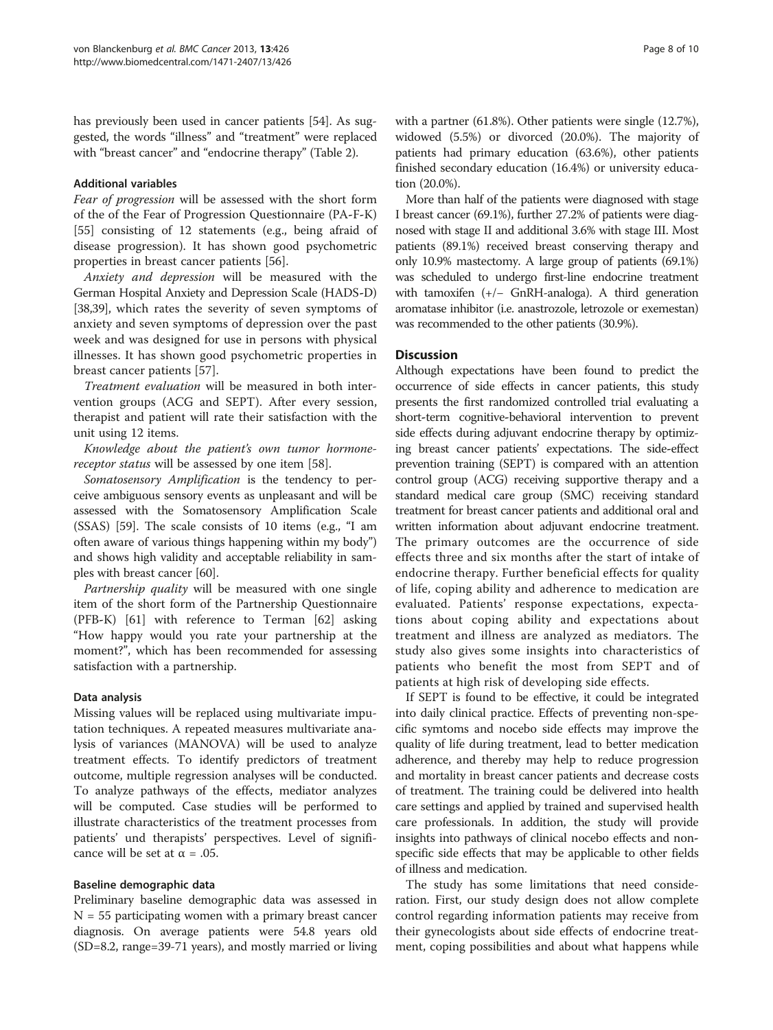has previously been used in cancer patients [\[54\]](#page-9-0). As suggested, the words "illness" and "treatment" were replaced with "breast cancer" and "endocrine therapy" (Table [2](#page-6-0)).

#### Additional variables

Fear of progression will be assessed with the short form of the of the Fear of Progression Questionnaire (PA-F-K) [[55\]](#page-9-0) consisting of 12 statements (e.g., being afraid of disease progression). It has shown good psychometric properties in breast cancer patients [\[56](#page-9-0)].

Anxiety and depression will be measured with the German Hospital Anxiety and Depression Scale (HADS-D) [[38,39\]](#page-9-0), which rates the severity of seven symptoms of anxiety and seven symptoms of depression over the past week and was designed for use in persons with physical illnesses. It has shown good psychometric properties in breast cancer patients [\[57](#page-9-0)].

Treatment evaluation will be measured in both intervention groups (ACG and SEPT). After every session, therapist and patient will rate their satisfaction with the unit using 12 items.

Knowledge about the patient's own tumor hormone-receptor status will be assessed by one item [\[58](#page-9-0)].

Somatosensory Amplification is the tendency to perceive ambiguous sensory events as unpleasant and will be assessed with the Somatosensory Amplification Scale (SSAS) [\[59\]](#page-9-0). The scale consists of 10 items (e.g., "I am often aware of various things happening within my body") and shows high validity and acceptable reliability in samples with breast cancer [[60](#page-9-0)].

Partnership quality will be measured with one single item of the short form of the Partnership Questionnaire (PFB-K) [\[61](#page-9-0)] with reference to Terman [\[62\]](#page-9-0) asking "How happy would you rate your partnership at the moment?", which has been recommended for assessing satisfaction with a partnership.

#### Data analysis

Missing values will be replaced using multivariate imputation techniques. A repeated measures multivariate analysis of variances (MANOVA) will be used to analyze treatment effects. To identify predictors of treatment outcome, multiple regression analyses will be conducted. To analyze pathways of the effects, mediator analyzes will be computed. Case studies will be performed to illustrate characteristics of the treatment processes from patients' und therapists' perspectives. Level of significance will be set at  $\alpha = .05$ .

#### Baseline demographic data

Preliminary baseline demographic data was assessed in  $N = 55$  participating women with a primary breast cancer diagnosis. On average patients were 54.8 years old (SD=8.2, range=39-71 years), and mostly married or living with a partner (61.8%). Other patients were single (12.7%), widowed (5.5%) or divorced (20.0%). The majority of patients had primary education (63.6%), other patients finished secondary education (16.4%) or university education (20.0%).

More than half of the patients were diagnosed with stage I breast cancer (69.1%), further 27.2% of patients were diagnosed with stage II and additional 3.6% with stage III. Most patients (89.1%) received breast conserving therapy and only 10.9% mastectomy. A large group of patients (69.1%) was scheduled to undergo first-line endocrine treatment with tamoxifen (+/− GnRH-analoga). A third generation aromatase inhibitor (i.e. anastrozole, letrozole or exemestan) was recommended to the other patients (30.9%).

#### **Discussion**

Although expectations have been found to predict the occurrence of side effects in cancer patients, this study presents the first randomized controlled trial evaluating a short-term cognitive-behavioral intervention to prevent side effects during adjuvant endocrine therapy by optimizing breast cancer patients' expectations. The side-effect prevention training (SEPT) is compared with an attention control group (ACG) receiving supportive therapy and a standard medical care group (SMC) receiving standard treatment for breast cancer patients and additional oral and written information about adjuvant endocrine treatment. The primary outcomes are the occurrence of side effects three and six months after the start of intake of endocrine therapy. Further beneficial effects for quality of life, coping ability and adherence to medication are evaluated. Patients' response expectations, expectations about coping ability and expectations about treatment and illness are analyzed as mediators. The study also gives some insights into characteristics of patients who benefit the most from SEPT and of patients at high risk of developing side effects.

If SEPT is found to be effective, it could be integrated into daily clinical practice. Effects of preventing non-specific symtoms and nocebo side effects may improve the quality of life during treatment, lead to better medication adherence, and thereby may help to reduce progression and mortality in breast cancer patients and decrease costs of treatment. The training could be delivered into health care settings and applied by trained and supervised health care professionals. In addition, the study will provide insights into pathways of clinical nocebo effects and nonspecific side effects that may be applicable to other fields of illness and medication.

The study has some limitations that need consideration. First, our study design does not allow complete control regarding information patients may receive from their gynecologists about side effects of endocrine treatment, coping possibilities and about what happens while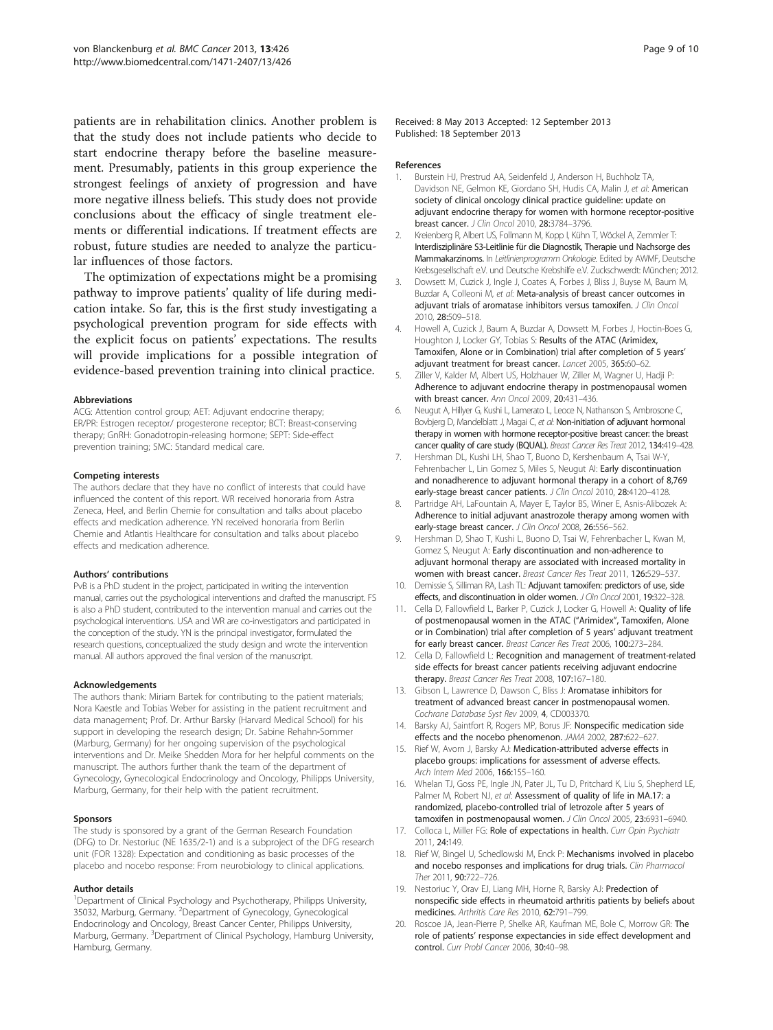<span id="page-8-0"></span>patients are in rehabilitation clinics. Another problem is that the study does not include patients who decide to start endocrine therapy before the baseline measurement. Presumably, patients in this group experience the strongest feelings of anxiety of progression and have more negative illness beliefs. This study does not provide conclusions about the efficacy of single treatment elements or differential indications. If treatment effects are robust, future studies are needed to analyze the particular influences of those factors.

The optimization of expectations might be a promising pathway to improve patients' quality of life during medication intake. So far, this is the first study investigating a psychological prevention program for side effects with the explicit focus on patients' expectations. The results will provide implications for a possible integration of evidence-based prevention training into clinical practice.

#### Abbreviations

ACG: Attention control group; AET: Adjuvant endocrine therapy; ER/PR: Estrogen receptor/ progesterone receptor; BCT: Breast-conserving therapy; GnRH: Gonadotropin-releasing hormone; SEPT: Side-effect prevention training; SMC: Standard medical care.

#### Competing interests

The authors declare that they have no conflict of interests that could have influenced the content of this report. WR received honoraria from Astra Zeneca, Heel, and Berlin Chemie for consultation and talks about placebo effects and medication adherence. YN received honoraria from Berlin Chemie and Atlantis Healthcare for consultation and talks about placebo effects and medication adherence.

#### Authors' contributions

PvB is a PhD student in the project, participated in writing the intervention manual, carries out the psychological interventions and drafted the manuscript. FS is also a PhD student, contributed to the intervention manual and carries out the psychological interventions. USA and WR are co-investigators and participated in the conception of the study. YN is the principal investigator, formulated the research questions, conceptualized the study design and wrote the intervention manual. All authors approved the final version of the manuscript.

#### Acknowledgements

The authors thank: Miriam Bartek for contributing to the patient materials; Nora Kaestle and Tobias Weber for assisting in the patient recruitment and data management; Prof. Dr. Arthur Barsky (Harvard Medical School) for his support in developing the research design; Dr. Sabine Rehahn-Sommer (Marburg, Germany) for her ongoing supervision of the psychological interventions and Dr. Meike Shedden Mora for her helpful comments on the manuscript. The authors further thank the team of the department of Gynecology, Gynecological Endocrinology and Oncology, Philipps University, Marburg, Germany, for their help with the patient recruitment.

#### Sponsors

The study is sponsored by a grant of the German Research Foundation (DFG) to Dr. Nestoriuc (NE 1635/2-1) and is a subproject of the DFG research unit (FOR 1328): Expectation and conditioning as basic processes of the placebo and nocebo response: From neurobiology to clinical applications.

#### Author details

<sup>1</sup>Department of Clinical Psychology and Psychotherapy, Philipps University, 35032, Marburg, Germany. <sup>2</sup>Department of Gynecology, Gynecological Endocrinology and Oncology, Breast Cancer Center, Philipps University, Marburg, Germany. <sup>3</sup>Department of Clinical Psychology, Hamburg University, Hamburg, Germany.

#### References

- 1. Burstein HJ, Prestrud AA, Seidenfeld J, Anderson H, Buchholz TA, Davidson NE, Gelmon KE, Giordano SH, Hudis CA, Malin J, et al: American society of clinical oncology clinical practice guideline: update on adjuvant endocrine therapy for women with hormone receptor-positive breast cancer. J Clin Oncol 2010, 28:3784–3796.
- 2. Kreienberg R, Albert US, Follmann M, Kopp I, Kühn T, Wöckel A, Zemmler T: Interdisziplinäre S3-Leitlinie für die Diagnostik, Therapie und Nachsorge des Mammakarzinoms. In Leitlinienprogramm Onkologie. Edited by AWMF, Deutsche Krebsgesellschaft e.V. und Deutsche Krebshilfe e.V. Zuckschwerdt: München; 2012.
- Dowsett M, Cuzick J, Ingle J, Coates A, Forbes J, Bliss J, Buyse M, Baum M, Buzdar A, Colleoni M, et al: Meta-analysis of breast cancer outcomes in adjuvant trials of aromatase inhibitors versus tamoxifen. J Clin Oncol 2010, 28:509–518.
- 4. Howell A, Cuzick J, Baum A, Buzdar A, Dowsett M, Forbes J, Hoctin-Boes G, Houghton J, Locker GY, Tobias S: Results of the ATAC (Arimidex, Tamoxifen, Alone or in Combination) trial after completion of 5 years' adjuvant treatment for breast cancer. Lancet 2005, 365:60–62.
- 5. Ziller V, Kalder M, Albert US, Holzhauer W, Ziller M, Wagner U, Hadji P: Adherence to adjuvant endocrine therapy in postmenopausal women with breast cancer. Ann Oncol 2009, 20:431–436.
- 6. Neugut A, Hillyer G, Kushi L, Lamerato L, Leoce N, Nathanson S, Ambrosone C, Bovbjerg D, Mandelblatt J, Magai C, et al: Non-initiation of adjuvant hormonal therapy in women with hormone receptor-positive breast cancer: the breast cancer quality of care study (BQUAL). Breast Cancer Res Treat 2012, 134:419-428.
- 7. Hershman DL, Kushi LH, Shao T, Buono D, Kershenbaum A, Tsai W-Y, Fehrenbacher L, Lin Gomez S, Miles S, Neugut AI: Early discontinuation and nonadherence to adjuvant hormonal therapy in a cohort of 8,769 early-stage breast cancer patients. J Clin Oncol 2010, 28:4120-4128.
- 8. Partridge AH, LaFountain A, Mayer E, Taylor BS, Winer E, Asnis-Alibozek A: Adherence to initial adjuvant anastrozole therapy among women with early-stage breast cancer. J Clin Oncol 2008, 26:556-562.
- 9. Hershman D, Shao T, Kushi L, Buono D, Tsai W, Fehrenbacher L, Kwan M, Gomez S, Neugut A: Early discontinuation and non-adherence to adjuvant hormonal therapy are associated with increased mortality in women with breast cancer. Breast Cancer Res Treat 2011, 126:529–537.
- 10. Demissie S, Silliman RA, Lash TL: Adjuvant tamoxifen: predictors of use, side effects, and discontinuation in older women. J Clin Oncol 2001, 19:322-328.
- 11. Cella D, Fallowfield L, Barker P, Cuzick J, Locker G, Howell A: Quality of life of postmenopausal women in the ATAC ("Arimidex", Tamoxifen, Alone or in Combination) trial after completion of 5 years' adjuvant treatment for early breast cancer. Breast Cancer Res Treat 2006, 100:273–284.
- 12. Cella D, Fallowfield L: Recognition and management of treatment-related side effects for breast cancer patients receiving adjuvant endocrine therapy. Breast Cancer Res Treat 2008, 107:167-180.
- 13. Gibson L, Lawrence D, Dawson C, Bliss J: Aromatase inhibitors for treatment of advanced breast cancer in postmenopausal women. Cochrane Database Syst Rev 2009, 4, CD003370.
- 14. Barsky AJ, Saintfort R, Rogers MP, Borus JF: Nonspecific medication side effects and the nocebo phenomenon. JAMA 2002, 287:622–627.
- 15. Rief W, Avorn J, Barsky AJ: Medication-attributed adverse effects in placebo groups: implications for assessment of adverse effects. Arch Intern Med 2006, 166:155–160.
- 16. Whelan TJ, Goss PE, Ingle JN, Pater JL, Tu D, Pritchard K, Liu S, Shepherd LE, Palmer M, Robert NJ, et al: Assessment of quality of life in MA.17: a randomized, placebo-controlled trial of letrozole after 5 years of tamoxifen in postmenopausal women. J Clin Oncol 2005, 23:6931-6940.
- 17. Colloca L, Miller FG: Role of expectations in health. Curr Opin Psychiatr 2011, 24:149.
- 18. Rief W, Bingel U, Schedlowski M, Enck P: Mechanisms involved in placebo and nocebo responses and implications for drug trials. Clin Pharmacol Ther 2011, 90:722–726.
- 19. Nestoriuc Y, Orav EJ, Liang MH, Horne R, Barsky AJ: Predection of nonspecific side effects in rheumatoid arthritis patients by beliefs about medicines. Arthritis Care Res 2010, 62:791–799.
- 20. Roscoe JA, Jean-Pierre P, Shelke AR, Kaufman ME, Bole C, Morrow GR: The role of patients' response expectancies in side effect development and control. Curr Probl Cancer 2006, 30:40–98.